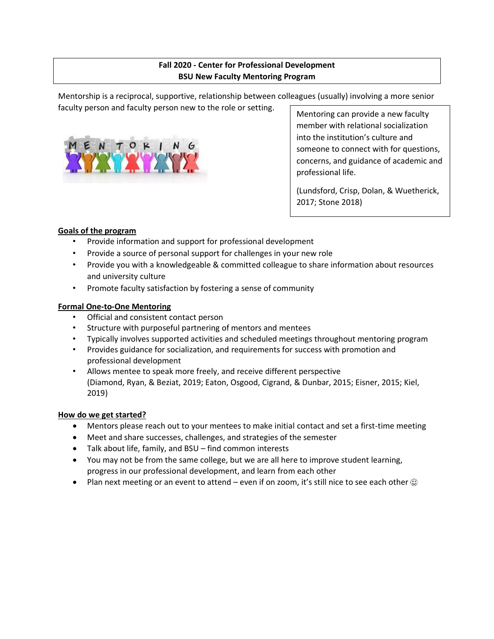# **Fall 2020 - Center for Professional Development BSU New Faculty Mentoring Program**

Mentorship is a reciprocal, supportive, relationship between colleagues (usually) involving a more senior faculty person and faculty person new to the role or setting.



Mentoring can provide a new faculty member with relational socialization into the institution's culture and someone to connect with for questions, concerns, and guidance of academic and professional life.

(Lundsford, Crisp, Dolan, & Wuetherick, 2017; Stone 2018)

### **Goals of the program**

- Provide information and support for professional development
- Provide a source of personal support for challenges in your new role
- Provide you with a knowledgeable & committed colleague to share information about resources and university culture
- Promote faculty satisfaction by fostering a sense of community

#### **Formal One-to-One Mentoring**

- Official and consistent contact person
- Structure with purposeful partnering of mentors and mentees
- Typically involves supported activities and scheduled meetings throughout mentoring program
- Provides guidance for socialization, and requirements for success with promotion and professional development
- Allows mentee to speak more freely, and receive different perspective (Diamond, Ryan, & Beziat, 2019; Eaton, Osgood, Cigrand, & Dunbar, 2015; Eisner, 2015; Kiel, 2019)

#### **How do we get started?**

- Mentors please reach out to your mentees to make initial contact and set a first-time meeting
- Meet and share successes, challenges, and strategies of the semester
- Talk about life, family, and BSU find common interests
- You may not be from the same college, but we are all here to improve student learning, progress in our professional development, and learn from each other
- Plan next meeting or an event to attend even if on zoom, it's still nice to see each other  $\circledcirc$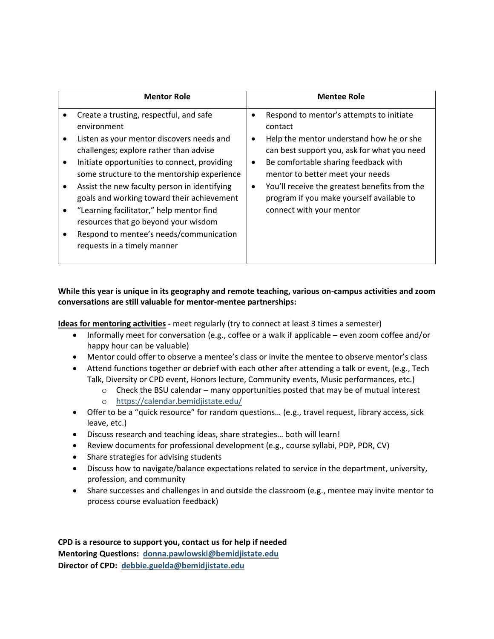|                                                       | <b>Mentor Role</b>                                                                                                                                                                                                                                                                                                                                                                                                                                                                                       |                                                  | <b>Mentee Role</b>                                                                                                                                                                                                                                                                                                                                   |
|-------------------------------------------------------|----------------------------------------------------------------------------------------------------------------------------------------------------------------------------------------------------------------------------------------------------------------------------------------------------------------------------------------------------------------------------------------------------------------------------------------------------------------------------------------------------------|--------------------------------------------------|------------------------------------------------------------------------------------------------------------------------------------------------------------------------------------------------------------------------------------------------------------------------------------------------------------------------------------------------------|
| $\bullet$<br>$\bullet$<br>$\bullet$<br>$\bullet$<br>٠ | Create a trusting, respectful, and safe<br>environment<br>Listen as your mentor discovers needs and<br>challenges; explore rather than advise<br>Initiate opportunities to connect, providing<br>some structure to the mentorship experience<br>Assist the new faculty person in identifying<br>goals and working toward their achievement<br>"Learning facilitator," help mentor find<br>resources that go beyond your wisdom<br>Respond to mentee's needs/communication<br>requests in a timely manner | $\bullet$<br>$\bullet$<br>$\bullet$<br>$\bullet$ | Respond to mentor's attempts to initiate<br>contact<br>Help the mentor understand how he or she<br>can best support you, ask for what you need<br>Be comfortable sharing feedback with<br>mentor to better meet your needs<br>You'll receive the greatest benefits from the<br>program if you make yourself available to<br>connect with your mentor |

## **While this year is unique in its geography and remote teaching, various on-campus activities and zoom conversations are still valuable for mentor-mentee partnerships:**

**Ideas for mentoring activities -** meet regularly (try to connect at least 3 times a semester)

- Informally meet for conversation (e.g., coffee or a walk if applicable even zoom coffee and/or happy hour can be valuable)
- Mentor could offer to observe a mentee's class or invite the mentee to observe mentor's class
- Attend functions together or debrief with each other after attending a talk or event, (e.g., Tech Talk, Diversity or CPD event, Honors lecture, Community events, Music performances, etc.)
	- $\circ$  Check the BSU calendar many opportunities posted that may be of mutual interest
	- o <https://calendar.bemidjistate.edu/>
- Offer to be a "quick resource" for random questions… (e.g., travel request, library access, sick leave, etc.)
- Discuss research and teaching ideas, share strategies… both will learn!
- Review documents for professional development (e.g., course syllabi, PDP, PDR, CV)
- Share strategies for advising students
- Discuss how to navigate/balance expectations related to service in the department, university, profession, and community
- Share successes and challenges in and outside the classroom (e.g., mentee may invite mentor to process course evaluation feedback)

**CPD is a resource to support you, contact us for help if needed Mentoring Questions: [donna.pawlowski@bemidjistate.edu](mailto:donna.pawlowski@bemidjistate.edu) Director of CPD: [debbie.guelda@bemidjistate.edu](mailto:debbie.guelda@bemidjistate.edu)**